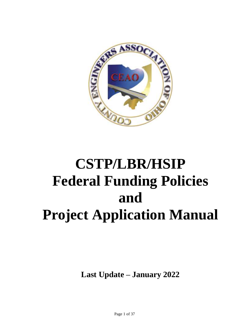

# **CSTP/LBR/HSIP Federal Funding Policies and Project Application Manual**

**Last Update – January 2022**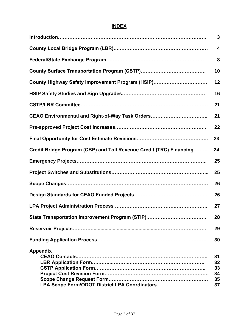### **INDEX**

|                                                                     | 3                          |
|---------------------------------------------------------------------|----------------------------|
|                                                                     | 4                          |
|                                                                     | 8                          |
|                                                                     | 10                         |
| County Highway Safety Improvement Program (HSIP)                    | 12                         |
|                                                                     | 16                         |
|                                                                     | 21                         |
| CEAO Environmental and Right-of-Way Task Orders                     | 21                         |
|                                                                     | 22                         |
|                                                                     | 23                         |
| Credit Bridge Program (CBP) and Toll Revenue Credit (TRC) Financing | 24                         |
|                                                                     | 25                         |
|                                                                     | 25                         |
|                                                                     | 26                         |
|                                                                     | 26                         |
|                                                                     | 27                         |
|                                                                     | 28                         |
|                                                                     | 29                         |
|                                                                     | 30                         |
| <b>Appendix</b>                                                     | 31<br>32<br>33<br>34<br>35 |
| LPA Scope Form/ODOT District LPA Coordinators                       | 37                         |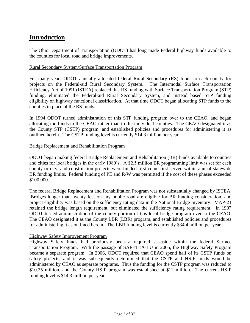### **Introduction**

The Ohio Department of Transportation (ODOT) has long made Federal highway funds available to the counties for local road and bridge improvements.

### Rural Secondary System/Surface Transportation Program

For many years ODOT annually allocated federal Rural Secondary (RS) funds to each county for projects on the Federal-aid Rural Secondary System. The Intermodal Surface Transportation Efficiency Act of 1991 (ISTEA) replaced this RS funding with Surface Transportation Program (STP) funding, eliminated the Federal-aid Rural Secondary System, and instead based STP funding eligibility on highway functional classification. At that time ODOT began allocating STP funds to the counties in place of the RS funds.

In 1994 ODOT turned administration of this STP funding program over to the CEAO, and began allocating the funds to the CEAO rather than to the individual counties. The CEAO designated it as the County STP (CSTP) program, and established policies and procedures for administering it as outlined herein. The CSTP funding level is currently \$14.3 million per year.

### Bridge Replacement and Rehabilitation Program

ODOT began making federal Bridge Replacement and Rehabilitation (BR) funds available to counties and cities for local bridges in the early 1980's. A \$2.5 million BR programming limit was set for each county or city, and construction projects were funded first come-first served within annual statewide BR funding limits. Federal funding of PE and R/W was permitted if the cost of these phases exceeded \$100,000.

The federal Bridge Replacement and Rehabilitation Program was not substantially changed by ISTEA. Bridges longer than twenty feet on any public road are eligible for BR funding consideration, and project eligibility was based on the sufficiency rating data in the National Bridge Inventory. MAP-21 retained the bridge length requirement, but eliminated the sufficiency rating requirement. In 1997 ODOT turned administration of the county portion of this local bridge program over to the CEAO. The CEAO designated it as the County LBR (LBR) program, and established policies and procedures for administering it as outlined herein. The LBR funding level is currently \$34.4 million per year.

### Highway Safety Improvement Program

Highway Safety funds had previously been a required set-aside within the federal Surface Transportation Program. With the passage of SAFETEA-LU in 2005, the Highway Safety Program became a separate program. In 2006, ODOT required that CEAO spend half of its CSTP funds on safety projects, and it was subsequently determined that the CSTP and HSIP funds would be administered by CEAO as separate programs. Thus the funding for the CSTP program was reduced to \$10.25 million, and the County HSIP program was established at \$12 million. The current HSIP funding level is \$14.3 million per year.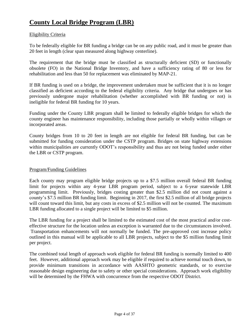### **County Local Bridge Program (LBR)**

### Eligibility Criteria

To be federally eligible for BR funding a bridge can be on any public road, and it must be greater than 20 feet in length (clear span measured along highway centerline).

The requirement that the bridge must be classified as structurally deficient (SD) or functionally obsolete (FO) in the National Bridge Inventory, and have a sufficiency rating of 80 or less for rehabilitation and less than 50 for replacement was eliminated by MAP-21.

If BR funding is used on a bridge, the improvement undertaken must be sufficient that it is no longer classified as deficient according to the federal eligibility criteria. Any bridge that undergoes or has previously undergone major rehabilitation (whether accomplished with BR funding or not) is ineligible for federal BR funding for 10 years.

Funding under the County LBR program shall be limited to federally eligible bridges for which the county engineer has maintenance responsibility, including those partially or wholly within villages or incorporated areas.

County bridges from 10 to 20 feet in length are not eligible for federal BR funding, but can be submitted for funding consideration under the CSTP program. Bridges on state highway extensions within municipalities are currently ODOT's responsibility and thus are not being funded under either the LBR or CSTP program.

### Program/Funding Guidelines

Each county may program eligible bridge projects up to a \$7.5 million overall federal BR funding limit for projects within any 4-year LBR program period, subject to a 6-year statewide LBR programming limit. Previously, bridges costing greater than \$2.5 million did not count against a county's \$7.5 million BR funding limit. Beginning in 2017, the first \$2.5 million of all bridge projects will count toward this limit, but any costs in excess of \$2.5 million will not be counted. The maximum LBR funding allocated to a single project will be limited to \$5 million.

The LBR funding for a project shall be limited to the estimated cost of the most practical and/or costeffective structure for the location unless an exception is warranted due to the circumstances involved. Transportation enhancements will not normally be funded. The pre-approved cost increase policy outlined in this manual will be applicable to all LBR projects, subject to the \$5 million funding limit per project.

The combined total length of approach work eligible for federal BR funding is normally limited to 400 feet. However, additional approach work may be eligible if required to achieve normal touch down, to provide minimum transitions in accordance with AASHTO geometric standards, or to exercise reasonable design engineering due to safety or other special considerations. Approach work eligibility will be determined by the FHWA with concurrence from the respective ODOT District.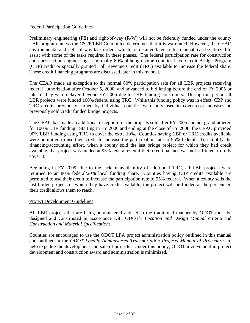### Federal Participation Guidelines

Preliminary engineering (PE) and right-of-way (R/W) will not be federally funded under the county LBR program unless the CSTP/LBR Committee determines that it is warranted. However, the CEAO environmental and right-of-way task orders, which are detailed later in this manual, can be utilized to assist with some of the tasks required in these phases. The federal participation rate for construction and construction engineering is normally 80% although some counties have Credit Bridge Program (CBP) credit or specially granted Toll Revenue Credit (TRC) available to increase the federal share. These credit financing programs are discussed later in this manual.

The CEAO made an exception to the normal 80% participation rate for all LBR projects receiving federal authorization after October 5, 2000, and advanced to bid letting before the end of FY 2005 or later if they were delayed beyond FY 2005 due to LBR funding constraints. During this period all LBR projects were funded 100% federal using TRC. While this funding policy was in effect, CBP and TRC credits previously earned by individual counties were only used to cover cost increases on previously sold credit funded bridge projects.

The CEAO has made an additional exception for the projects sold after FY 2005 and not grandfathered for 100% LBR funding. Starting in FY 2006 and ending at the close of FY 2008, the CEAO provided 90% LBR funding using TRC to cover the extra 10%. Counties having CBP or TRC credits available were permitted to use their credit to increase the participation rate to 95% federal. To simplify the financing/accounting effort, when a county sold the last bridge project for which they had credit available, that project was funded at 95% federal even if their credit balance was not sufficient to fully cover it.

Beginning in FY 2009, due to the lack of availability of additional TRC, all LBR projects were returned to an 80% federal/20% local funding share. Counties having CBP credits available are permitted to use their credit to increase the participation rate to 95% federal. When a county sells the last bridge project for which they have credit available, the project will be funded at the percentage their credit allows them to reach.

### Project Development Guidelines

All LBR projects that are being administered and let in the traditional manner by ODOT must be designed and constructed in accordance with ODOT's *Location and Design Manual* criteria and *Construction and Material Specifications*.

Counties are encouraged to use the ODOT LPA project administration policy outlined in this manual and outlined in the *ODOT Locally Administered Transportation Projects Manual of Procedures* to help expedite the development and sale of projects. Under this policy, ODOT involvement in project development and construction award and administration is minimized.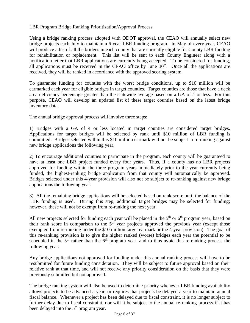### LBR Program Bridge Ranking Prioritization/Approval Process

Using a bridge ranking process adopted with ODOT approval, the CEAO will annually select new bridge projects each July to maintain a 6-year LBR funding program. In May of every year, CEAO will produce a list of all the bridges in each county that are currently eligible for County LBR funding for rehabilitation or replacement. This list will be sent to each County Engineer along with a notification letter that LBR applications are currently being accepted. To be considered for funding, all applications must be received in the CEAO office by June  $30<sup>th</sup>$ . Once all the applications are received, they will be ranked in accordance with the approved scoring system.

To guarantee funding for counties with the worst bridge conditions, up to \$10 million will be earmarked each year for eligible bridges in target counties. Target counties are those that have a deck area deficiency percentage greater than the statewide average based on a GA of 4 or less. For this purpose, CEAO will develop an updated list of these target counties based on the latest bridge inventory data.

The annual bridge approval process will involve three steps:

1) Bridges with a GA of 4 or less located in target counties are considered target bridges. Applications for target bridges will be selected by rank until \$10 million of LBR funding is committed. Bridges selected within this \$10 million earmark will not be subject to re-ranking against new bridge applications the following year.

2) To encourage additional counties to participate in the program, each county will be guaranteed to have at least one LBR project funded every four years. Thus, if a county has no LBR projects approved for funding within the three program years immediately prior to the year currently being funded, the highest-ranking bridge application from that county will automatically be approved. Bridges selected under this 4-year provision will also not be subject to re-ranking against new bridge applications the following year.

3) All the remaining bridge applications will be selected based on rank score until the balance of the LBR funding is used. During this step, additional target bridges may be selected for funding; however, these will not be exempt from re-ranking the next year.

All new projects selected for funding each year will be placed in the  $5<sup>th</sup>$  or  $6<sup>th</sup>$  program year, based on their rank score in comparison to the  $5<sup>th</sup>$  year projects approved the previous year (except those exempted from re-ranking under the \$10 million target earmark or the 4-year provision). The goal of this re-ranking provision is to give the higher ranked (worse) bridges each year the potential to be scheduled in the  $5<sup>th</sup>$  rather than the  $6<sup>th</sup>$  program year, and to thus avoid this re-ranking process the following year.

Any bridge applications not approved for funding under this annual ranking process will have to be resubmitted for future funding consideration. They will be subject to future approval based on their relative rank at that time, and will not receive any priority consideration on the basis that they were previously submitted but not approved.

The bridge ranking system will also be used to determine priority whenever LBR funding availability allows projects to be advanced a year, or requires that projects be delayed a year to maintain annual fiscal balance. Whenever a project has been delayed due to fiscal constraint, it is no longer subject to further delay due to fiscal constraint, nor will it be subject to the annual re-ranking process if it has been delayed into the  $5<sup>th</sup>$  program year.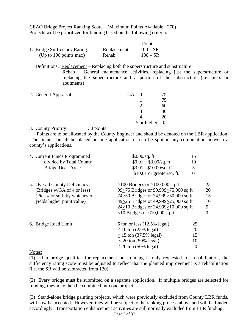CEAO Bridge Project Ranking Score (Maximum Points Available: 270) Projects will be prioritized for funding based on the following criteria:

|                               |             | Points     |
|-------------------------------|-------------|------------|
| 1. Bridge Sufficiency Rating: | Replacement | $100 - SR$ |
| (Up to 100 points max)        | Rehab       | $130 - SR$ |

Definitions: Replacement – Replacing both the superstructure and substructure

Rehab – General maintenance activities, replacing just the superstructure or replacing the superstructure and a portion of the substructure (i.e. piers or abutments)

| $GA = 0$    | 75 |
|-------------|----|
|             | 75 |
|             | 60 |
| 2           | 40 |
|             | 20 |
| 5 or higher | -0 |
|             |    |

3. County Priority: 30 points

 Points are to be allocated by the County Engineer and should be denoted on the LBR application. The points can all be placed on one application or can be split in any combination between a county's applications.

| divided by Total County<br>$$0.01 - $3.00$ /sq. ft.<br>10<br>$$3.01 - $10.00/sq.$ ft.<br>Bridge Deck Area:<br>5<br>$$10.01$ or greater/sq. ft.<br>0<br>5. Overall County Deficiency:<br>$>100$ Bridges or $>100,000$ sq ft<br>99>75 Bridges or 99,999>75,000 sq ft<br>(Bridges w/GA of 4 or less)<br>20<br>74>50 Bridges or 74,999>50,000 sq ft<br>(Pick # or sq ft by whichever<br>15<br>49>25 Bridges or 49,999>25,000 sq ft<br>yields higher point value)<br>10<br>24>10 Bridges or 24,999>10,000 sq ft<br>5<br>$\langle 10 \text{ Bridges or } \langle 10,000 \text{ sq ft} \rangle$<br>0<br>6. Bridge Load Limit:<br>25<br>$5 \text{ ton}$ or less $(12.5\% \text{ legal})$<br>20<br>$<$ 10 ton (25% legal)<br>15<br>$< 15$ ton (37.5% legal)<br>$<$ 20 ton (50% legal)<br>10 | 4. Current Funds Programmed | $$0.00/sq.$ ft. | 15 |    |
|------------------------------------------------------------------------------------------------------------------------------------------------------------------------------------------------------------------------------------------------------------------------------------------------------------------------------------------------------------------------------------------------------------------------------------------------------------------------------------------------------------------------------------------------------------------------------------------------------------------------------------------------------------------------------------------------------------------------------------------------------------------------------------|-----------------------------|-----------------|----|----|
|                                                                                                                                                                                                                                                                                                                                                                                                                                                                                                                                                                                                                                                                                                                                                                                    |                             |                 |    |    |
|                                                                                                                                                                                                                                                                                                                                                                                                                                                                                                                                                                                                                                                                                                                                                                                    |                             |                 |    |    |
|                                                                                                                                                                                                                                                                                                                                                                                                                                                                                                                                                                                                                                                                                                                                                                                    |                             |                 |    |    |
|                                                                                                                                                                                                                                                                                                                                                                                                                                                                                                                                                                                                                                                                                                                                                                                    |                             |                 |    | 25 |
|                                                                                                                                                                                                                                                                                                                                                                                                                                                                                                                                                                                                                                                                                                                                                                                    |                             |                 |    |    |
|                                                                                                                                                                                                                                                                                                                                                                                                                                                                                                                                                                                                                                                                                                                                                                                    |                             |                 |    |    |
|                                                                                                                                                                                                                                                                                                                                                                                                                                                                                                                                                                                                                                                                                                                                                                                    |                             |                 |    |    |
|                                                                                                                                                                                                                                                                                                                                                                                                                                                                                                                                                                                                                                                                                                                                                                                    |                             |                 |    |    |
|                                                                                                                                                                                                                                                                                                                                                                                                                                                                                                                                                                                                                                                                                                                                                                                    |                             |                 |    |    |
|                                                                                                                                                                                                                                                                                                                                                                                                                                                                                                                                                                                                                                                                                                                                                                                    |                             |                 |    |    |
|                                                                                                                                                                                                                                                                                                                                                                                                                                                                                                                                                                                                                                                                                                                                                                                    |                             |                 |    |    |
|                                                                                                                                                                                                                                                                                                                                                                                                                                                                                                                                                                                                                                                                                                                                                                                    |                             |                 |    |    |
|                                                                                                                                                                                                                                                                                                                                                                                                                                                                                                                                                                                                                                                                                                                                                                                    |                             |                 |    |    |
| $>20$ ton (50% legal)<br>$\overline{0}$                                                                                                                                                                                                                                                                                                                                                                                                                                                                                                                                                                                                                                                                                                                                            |                             |                 |    |    |
|                                                                                                                                                                                                                                                                                                                                                                                                                                                                                                                                                                                                                                                                                                                                                                                    |                             |                 |    |    |

Notes:

(1) If a bridge qualifies for replacement but funding is only requested for rehabilitation, the sufficiency rating score must be adjusted to reflect that the planned improvement is a rehabilitation (i.e. the SR will be subtracted from 130).

(2) Every bridge must be submitted on a separate application. If multiple bridges are selected for funding, they may then be combined into one project.

(3) Stand-alone bridge painting projects, which were previously excluded from County LBR funds, will now be accepted. However, they will be subject to the ranking process above and will be funded accordingly. Transportation enhancement activities are still normally excluded from LBR funding.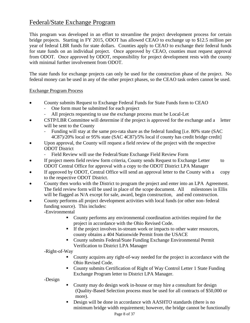### Federal/State Exchange Program

This program was developed in an effort to streamline the project development process for certain bridge projects. Starting in FY 2015, ODOT has allowed CEAO to exchange up to \$12.5 million per year of federal LBR funds for state dollars. Counties apply to CEAO to exchange their federal funds for state funds on an individual project. Once approved by CEAO, counties must request approval from ODOT. Once approved by ODOT, responsibility for project development rests with the county with minimal further involvement from ODOT.

The state funds for exchange projects can only be used for the construction phase of the project. No federal money can be used in any of the other project phases, so the CEAO task orders cannot be used.

### Exchange Program Process

- County submits Request to Exchange Federal Funds for State Funds form to CEAO
	- One form must be submitted for each project
	- All projects requesting to use the exchange process must be Local-Let
- CSTP/LBR Committee will determine if the project is approved for the exchange and a letter will be sent to the County
	- Funding will stay at the same pro-rata share as the federal funding [i.e. 80% state (SAC 4C87)/20% local or 95% state (SAC 4C87)/5% local if county has credit bridge credit]
- Upon approval, the County will request a field review of the project with the respective ODOT District
	- Field Review will use the Federal/State Exchange Field Review Form
- If project meets field review form criteria, County sends Request to Exchange Letter to ODOT Central Office for approval with a copy to the ODOT District LPA Manager
- If approved by ODOT, Central Office will send an approval letter to the County with a copy to the respective ODOT District.
- County then works with the District to program the project and enter into an LPA Agreement. The field review form will be used in place of the scope document. All milestones in Ellis will be flagged as N/A except for sale, award, begin construction, and end construction.
- County performs all project development activities with local funds (or other non-federal funding source). This includes: -Environmental
	- County performs any environmental coordination activities required for the project in accordance with the Ohio Revised Code.
	- If the project involves in-stream work or impacts to other water resources, county obtains a 404 Nationwide Permit from the USACE
	- County submits Federal/State Funding Exchange Environmental Permit Verification to District LPA Manager

-Right-of-Way

- County acquires any right-of-way needed for the project in accordance with the Ohio Revised Code.
- County submits Certification of Right of Way Control Letter 1 State Funding Exchange Program letter to District LPA Manager.

-Design

- County may do design work in-house or may hire a consultant for design (Quality-Based Selection process must be used for all contracts of \$50,000 or more).
- Design will be done in accordance with AASHTO standards (there is no minimum bridge width requirement; however, the bridge cannot be functionally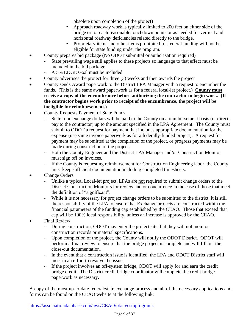obsolete upon completion of the project)

- Approach roadway work is typically limited to 200 feet on either side of the bridge or to reach reasonable touchdown points or as needed for vertical and horizontal roadway deficiencies related directly to the bridge.
- Proprietary items and other items prohibited for federal funding will not be eligible for state funding under the program.
- County prepares bid package (No ODOT submittal or authorization required)
	- State prevailing wage still applies to these projects so language to that effect must be included in the bid package
	- A 5% EDGE Goal must be included
- County advertises the project for three (3) weeks and then awards the project
- County sends Award paperwork to the District LPA Manager with a request to encumber the funds. (This is the same award paperwork as for a federal local-let project.) **County must receive a copy of the encumbrance before authorizing the contractor to begin work. (If the contractor begins work prior to receipt of the encumbrance, the project will be ineligible for reimbursement.)**
- County Requests Payment of State Funds
	- State fund exchange dollars will be paid to the County on a reimbursement basis (or directpay to the contractor) up to the amount specified in the LPA Agreement. The County must submit to ODOT a request for payment that includes appropriate documentation for the expense (use same invoice paperwork as for a federally-funded project). A request for payment may be submitted at the completion of the project, or progress payments may be made during construction of the project.
	- Both the County Engineer and the District LPA Manager and/or Construction Monitor must sign off on invoices.
	- If the County is requesting reimbursement for Construction Engineering labor, the County must keep sufficient documentation including completed timesheets.
- Change Orders
	- Unlike a typical Local-let project, LPAs are not required to submit change orders to the District Construction Monitors for review and or concurrence in the case of those that meet the definition of "significant".
	- While it is not necessary for project change orders to be submitted to the district, it is still the responsibility of the LPA to ensure that Exchange projects are constructed within the financial parameters of the funding cap established by the CEAO. Those that exceed that cap will be 100% local responsibility, unless an increase is approved by the CEAO.
- Final Review
	- During construction, ODOT may enter the project site, but they will not monitor construction records or material specifications.
	- Upon completion of the project, the County will notify the ODOT District. ODOT will perform a final review to ensure that the bridge project is complete and will fill out the close-out documentation.
	- In the event that a construction issue is identified, the LPA and ODOT District staff will meet in an effort to resolve the issue.
	- If the project involves an off-system bridge, ODOT will apply for and earn the credit bridge credit. The District credit bridge coordinator will complete the credit bridge paperwork as necessary.

A copy of the most up-to-date federal/state exchange process and all of the necessary applications and forms can be found on the CEAO website at the following link: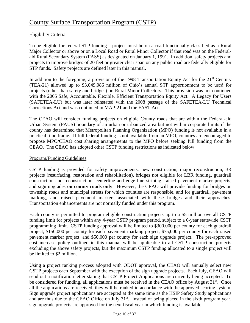### County Surface Transportation Program (CSTP)

### Eligibility Criteria

To be eligible for federal STP funding a project must be on a road functionally classified as a Rural Major Collector or above or on a Local Road or Rural Minor Collector if that road was on the Federalaid Rural Secondary System (FASS) as designated on January 1, 1991. In addition, safety projects and projects to improve bridges of 20 feet or greater clear span on any public road are federally eligible for STP funds. Safety projects are defined later in this manual.

In addition to the foregoing, a provision of the 1998 Transportation Equity Act for the  $21<sup>st</sup>$  Century (TEA-21) allowed up to \$3,049,086 million of Ohio's annual STP apportionment to be used for projects (other than safety and bridges) on Rural Minor Collectors. This provision was not continued with the 2005 Safe, Accountable, Flexible, Efficient Transportation Equity Act: A Legacy for Users (SAFETEA-LU) but was later reinstated with the 2008 passage of the SAFETEA-LU Technical Corrections Act and was continued in MAP-21 and the FAST Act.

The CEAO will consider funding projects on eligible County roads that are within the Federal-aid Urban System (FAUS) boundary of an urban or urbanized area but not within corporate limits if the county has determined that Metropolitan Planning Organization (MPO) funding is not available in a practical time frame. If full federal funding is not available from an MPO, counties are encouraged to propose MPO/CEAO cost sharing arrangements to the MPO before seeking full funding from the CEAO. The CEAO has adopted other CSTP funding restrictions as indicated below.

### Program/Funding Guidelines

CSTP funding is provided for safety improvements, new construction, major reconstruction, 3R projects (resurfacing, restoration and rehabilitation), bridges not eligible for LBR funding, guardrail construction and reconstruction, centerline and edge line striping, raised pavement marker projects, and sign upgrades **on county roads only**. However, the CEAO will provide funding for bridges on township roads and municipal streets for which counties are responsible, and for guardrail, pavement marking, and raised pavement markers associated with these bridges and their approaches. Transportation enhancements are not normally funded under this program.

Each county is permitted to program eligible construction projects up to a \$5 million overall CSTP funding limit for projects within any 4-year CSTP program period, subject to a 6-year statewide CSTP programming limit. CSTP funding approval will be limited to \$300,000 per county for each guardrail project, \$150,000 per county for each pavement marking project, \$75,000 per county for each raised pavement marker project, and \$50,000 per county for each sign upgrade project. The pre-approved cost increase policy outlined in this manual will be applicable to all CSTP construction projects excluding the above safety projects, but the maximum CSTP funding allocated to a single project will be limited to \$2 million.

Using a project ranking process adopted with ODOT approval, the CEAO will annually select new CSTP projects each September with the exception of the sign upgrade projects. Each July, CEAO will send out a notification letter stating that CSTP Project Applications are currently being accepted. To be considered for funding, all applications must be received in the CEAO office by August 31<sup>st</sup>. Once all the applications are received, they will be ranked in accordance with the approved scoring system. Sign upgrade project applications are accepted at the same time as the HSIP Safety Study applications and are thus due to the CEAO Office on July 31<sup>st</sup>. Instead of being placed in the sixth program year, sign upgrade projects are approved for the next fiscal year in which funding is available.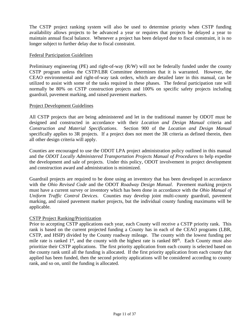The CSTP project ranking system will also be used to determine priority when CSTP funding availability allows projects to be advanced a year or requires that projects be delayed a year to maintain annual fiscal balance. Whenever a project has been delayed due to fiscal constraint, it is no longer subject to further delay due to fiscal constraint.

### Federal Participation Guidelines

Preliminary engineering (PE) and right-of-way (R/W) will not be federally funded under the county CSTP program unless the CSTP/LBR Committee determines that it is warranted. However, the CEAO environmental and right-of-way task orders, which are detailed later in this manual, can be utilized to assist with some of the tasks required in these phases. The federal participation rate will normally be 80% on CSTP construction projects and 100% on specific safety projects including guardrail, pavement marking, and raised pavement markers.

#### Project Development Guidelines

All CSTP projects that are being administered and let in the traditional manner by ODOT must be designed and constructed in accordance with their *Location and Design Manual* criteria and *Construction and Material Specifications*. Section 900 of the *Location and Design Manual* specifically applies to 3R projects. If a project does not meet the 3R criteria as defined therein, then all other design criteria will apply.

Counties are encouraged to use the ODOT LPA project administration policy outlined in this manual and the *ODOT Locally Administered Transportation Projects Manual of Procedures* to help expedite the development and sale of projects. Under this policy, ODOT involvement in project development and construction award and administration is minimized.

Guardrail projects are required to be done using an inventory that has been developed in accordance with the *Ohio Revised Code* and the ODOT *Roadway Design Manual*. Pavement marking projects must have a current survey or inventory which has been done in accordance with the *Ohio Manual of Uniform Traffic Control Devices*. Counties may develop joint multi-county guardrail, pavement marking, and raised pavement marker projects, but the individual county funding maximums will be applicable.

### CSTP Project Ranking/Prioritization

Prior to accepting CSTP applications each year, each County will receive a CSTP priority rank. This rank is based on the current projected funding a County has in each of the CEAO programs (LBR, CSTP, and HSIP) divided by the County roadway mileage. The county with the lowest funding per mile rate is ranked 1<sup>st</sup>, and the county with the highest rate is ranked 88<sup>th</sup>. Each County must also prioritize their CSTP applications. The first priority application from each county is selected based on the county rank until all the funding is allocated. If the first priority application from each county that applied has been funded, then the second priority applications will be considered according to county rank, and so on, until the funding is allocated.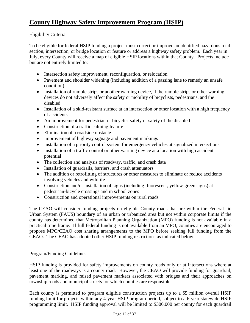### Eligibility Criteria

To be eligible for federal HSIP funding a project must correct or improve an identified hazardous road section, intersection, or bridge location or feature or address a highway safety problem. Each year in July, every County will receive a map of eligible HSIP locations within that County. Projects include but are not entirely limited to:

- Intersection safety improvement, reconfiguration, or relocation
- Pavement and shoulder widening (including addition of a passing lane to remedy an unsafe condition)
- Installation of rumble strips or another warning device, if the rumble strips or other warning devices do not adversely affect the safety or mobility of bicyclists, pedestrians, and the disabled
- Installation of a skid-resistant surface at an intersection or other location with a high frequency of accidents
- An improvement for pedestrian or bicyclist safety or safety of the disabled
- Construction of a traffic calming feature
- Elimination of a roadside obstacle
- Improvement of highway signage and pavement markings
- Installation of a priority control system for emergency vehicles at signalized intersections
- Installation of a traffic control or other warning device at a location with high accident potential
- The collection and analysis of roadway, traffic, and crash data
- Installation of guardrails, barriers, and crash attenuators
- The addition or retrofitting of structures or other measures to eliminate or reduce accidents involving vehicles and wildlife
- Construction and/or installation of signs (including fluorescent, yellow-green signs) at pedestrian-bicycle crossings and in school zones
- Construction and operational improvements on rural roads

The CEAO will consider funding projects on eligible County roads that are within the Federal-aid Urban System (FAUS) boundary of an urban or urbanized area but not within corporate limits if the county has determined that Metropolitan Planning Organization (MPO) funding is not available in a practical time frame. If full federal funding is not available from an MPO, counties are encouraged to propose MPO/CEAO cost sharing arrangements to the MPO before seeking full funding from the CEAO. The CEAO has adopted other HSIP funding restrictions as indicated below.

### Program/Funding Guidelines

HSIP funding is provided for safety improvements on county roads only or at intersections where at least one of the roadways is a county road. However, the CEAO will provide funding for guardrail, pavement marking, and raised pavement markers associated with bridges and their approaches on township roads and municipal streets for which counties are responsible.

Each county is permitted to program eligible construction projects up to a \$5 million overall HSIP funding limit for projects within any 4-year HSIP program period, subject to a 6-year statewide HSIP programming limit. HSIP funding approval will be limited to \$300,000 per county for each guardrail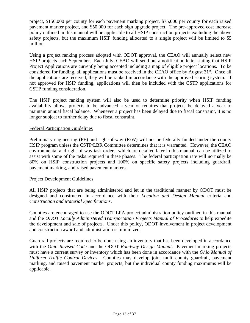project, \$150,000 per county for each pavement marking project, \$75,000 per county for each raised pavement marker project, and \$50,000 for each sign upgrade project. The pre-approved cost increase policy outlined in this manual will be applicable to all HSIP construction projects excluding the above safety projects, but the maximum HSIP funding allocated to a single project will be limited to \$5 million.

Using a project ranking process adopted with ODOT approval, the CEAO will annually select new HSIP projects each September. Each July, CEAO will send out a notification letter stating that HSIP Project Applications are currently being accepted including a map of eligible project locations. To be considered for funding, all applications must be received in the CEAO office by August 31<sup>st</sup>. Once all the applications are received, they will be ranked in accordance with the approved scoring system. If not approved for HSIP funding, applications will then be included with the CSTP applications for CSTP funding consideration.

The HSIP project ranking system will also be used to determine priority when HSIP funding availability allows projects to be advanced a year or requires that projects be delayed a year to maintain annual fiscal balance. Whenever a project has been delayed due to fiscal constraint, it is no longer subject to further delay due to fiscal constraint.

### Federal Participation Guidelines

Preliminary engineering (PE) and right-of-way (R/W) will not be federally funded under the county HSIP program unless the CSTP/LBR Committee determines that it is warranted. However, the CEAO environmental and right-of-way task orders, which are detailed later in this manual, can be utilized to assist with some of the tasks required in these phases. The federal participation rate will normally be 80% on HSIP construction projects and 100% on specific safety projects including guardrail, pavement marking, and raised pavement markers.

### Project Development Guidelines

All HSIP projects that are being administered and let in the traditional manner by ODOT must be designed and constructed in accordance with their *Location and Design Manual* criteria and *Construction and Material Specifications*.

Counties are encouraged to use the ODOT LPA project administration policy outlined in this manual and the *ODOT Locally Administered Transportation Projects Manual of Procedures* to help expedite the development and sale of projects. Under this policy, ODOT involvement in project development and construction award and administration is minimized.

Guardrail projects are required to be done using an inventory that has been developed in accordance with the *Ohio Revised Code* and the ODOT *Roadway Design Manual*. Pavement marking projects must have a current survey or inventory which has been done in accordance with the *Ohio Manual of Uniform Traffic Control Devices*. Counties may develop joint multi-county guardrail, pavement marking, and raised pavement marker projects, but the individual county funding maximums will be applicable.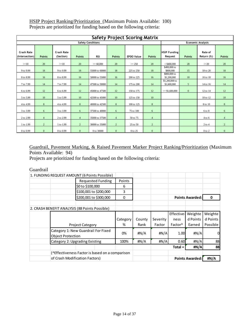|                                     | <b>Safety Project Scoring Matrix</b>                 |                                |                |                |                |                   |                |                                |               |                       |                |
|-------------------------------------|------------------------------------------------------|--------------------------------|----------------|----------------|----------------|-------------------|----------------|--------------------------------|---------------|-----------------------|----------------|
|                                     | <b>Safety Conditions</b><br><b>Economic Analysis</b> |                                |                |                |                |                   |                |                                |               |                       |                |
| <b>Crash Rate</b><br>(Intersection) | <b>Points</b>                                        | <b>Crash Rate</b><br>(Section) | <b>Points</b>  | <b>RSI</b>     | <b>Points</b>  | <b>EPDO Value</b> | <b>Points</b>  | <b>HSIP Funding</b><br>Request | <b>Points</b> | Rate of<br>Return (%) | <b>Points</b>  |
| $>=10$                              | 20                                                   | $>=10$                         | 20             | $>= 60,000$    | 20             | $>= 250$          | 20             | $<$ \$400,000                  | 20            | $>=20$                | 20             |
| 9 to 9.99                           | 18                                                   | 9 to 9.99                      | 18             | 55000 to 60000 | 18             | 225 to 250        | 18             | \$400,000 to<br>\$800,000      | 15            | 18 to 20              | 18             |
| 8 to 8.99                           | 16                                                   | 8 to 8.99                      | 16             | 50000 to 55000 | 16             | 200 to 225        | 16             | \$800,000 to<br>\$1,200,000    | 10            | 16 to 18              | 16             |
| 7 to 7.99                           | 14                                                   | 7 to 7.99                      | 14             | 47500 to 50000 | 14             | 175 to 200        | 14             | \$1,200,000 to<br>\$1,600,000  | 5             | 14 to 16              | 14             |
| 6 to 6.99                           | 12                                                   | 6 to 6.99                      | 12             | 45000 to 47500 | 12             | 150 to 175        | 12             | $>= $1,600,000$                | $\mathbf{0}$  | 12 to 14              | 12             |
| 5 to 5.99                           | 10                                                   | 5 to 5.99                      | 10             | 42500 to 45000 | 10             | 125 to 150        | 10             |                                |               | 10 to 12              | 10             |
| 4 to 4.99                           | $\,8\,$                                              | 4 to 4.99                      | 8              | 40000 to 42500 | 8              | 100 to 125        | $\,8\,$        |                                |               | 8 to 10               | 8              |
| 3 to 3.99                           | 6                                                    | 3 to 3.99                      | 6              | 37500 to 40000 | 6              | 75 to 100         | 6              |                                |               | 6 to 8                | 6              |
| 2 to 2.99                           | $\overline{4}$                                       | 2 to 2.99                      | $\overline{4}$ | 35000 to 37500 | $\overline{4}$ | 50 to 75          | $\overline{4}$ |                                |               | $4$ to 6              | $\overline{4}$ |
| 1 to 1.99                           | $\overline{2}$                                       | 1 to 1.99                      | $\overline{2}$ | 30000 to 35000 | $\overline{2}$ | 25 to 50          | $\overline{2}$ |                                |               | $2$ to 4              | 2              |
| 0 to 0.99                           | $\mathbf{0}$                                         | 0 to 0.99                      | $\overline{0}$ | 0 to 30000     | $\mathbf{0}$   | 0 to 25           | $\overline{0}$ |                                |               | $0$ to $2$            | $\mathbf{0}$   |

HSIP Project Ranking/Prioritization (Maximum Points Available: 100) Projects are prioritized for funding based on the following criteria:

### Guardrail, Pavement Marking, & Raised Pavement Marker Project Ranking/Prioritization (Maximum Points Available: 94)

Projects are prioritized for funding based on the following criteria:

Guardrail

| 1. FUNDING REQUEST AMOUNT (6 Points Possible)                   |                        |    |          |        |          |                     |                        |          |
|-----------------------------------------------------------------|------------------------|----|----------|--------|----------|---------------------|------------------------|----------|
| <b>Requested Funding</b>                                        |                        |    | Points   |        |          |                     |                        |          |
|                                                                 | \$0 to \$100,000       |    | 6        |        |          |                     |                        |          |
|                                                                 | \$100,001 to \$200,000 |    | 3        |        |          |                     |                        |          |
|                                                                 | \$200,001 to \$300,000 |    | 0        |        |          |                     | <b>Points Awarded:</b> | 0        |
|                                                                 |                        |    |          |        |          |                     |                        |          |
| 2. CRASH BENEFIT ANALYSIS (88 Points Possible)                  |                        |    |          |        |          |                     |                        |          |
|                                                                 |                        |    |          |        |          | Effective-          | Weighte                | Weighte  |
|                                                                 |                        |    | Category | County | Severity | ness                | d Points               | d Points |
| <b>Project Category</b>                                         |                        |    | %        | Rank   | Factor   | Factor <sup>^</sup> | Earned                 | Possible |
| Category 1: New Guardrail For Fixed<br><b>Object Protection</b> |                        | 0% | #N/A     | #N/A   | 1.00     | #N/A                |                        |          |
| Category 2: Upgrading Existing                                  |                        |    | 100%     | #N/A   | #N/A     | 0.60                | #N/A                   | 88       |
|                                                                 |                        |    |          |        |          | $Total =$           | #N/A                   | 88       |
| (^Effectiveness Factor is based on a comparison                 |                        |    |          |        |          |                     |                        |          |
| of Crash Modification Factors)                                  |                        |    |          |        |          |                     | <b>Points Awarded:</b> | #N/A     |
|                                                                 |                        |    |          |        |          |                     |                        |          |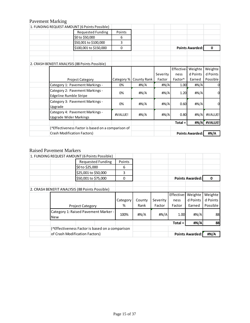### Pavement Marking

| 1. FUNDING REQUEST AMOUNT (6 Points Possible)                    |            |                    |          |                     |                        |          |
|------------------------------------------------------------------|------------|--------------------|----------|---------------------|------------------------|----------|
| <b>Requested Funding</b>                                         | Points     |                    |          |                     |                        |          |
| \$0 to \$50,000                                                  | 6          |                    |          |                     |                        |          |
| \$50,001 to \$100,000                                            | 3          |                    |          |                     |                        |          |
| \$100,001 to \$150,000                                           | 0          |                    |          |                     | <b>Points Awarded:</b> | 0        |
|                                                                  |            |                    |          |                     |                        |          |
| 2. CRASH BENEFIT ANALYSIS (88 Points Possible)                   |            |                    |          |                     |                        |          |
|                                                                  |            |                    |          | Effective-          | Weighte                | Weighte  |
|                                                                  |            |                    | Severity | ness                | d Points               | d Points |
| <b>Project Category</b>                                          | Category % | <b>County Rank</b> | Factor   | Factor <sup>^</sup> | Earned                 | Possible |
| Category 1: Pavement Markings -                                  | 0%         | #N/A               | #N/A     | 1.00                | #N/A                   |          |
| Category 2: Pavement Markings -<br>Edgeline Rumble Stripe        | 0%         | #N/A               | #N/A     | 1.20                | #N/A                   | 0        |
| Category 3: Pavement Markings -<br>Upgrade                       | 0%         | #N/A               | #N/A     | 0.60                | #N/A                   |          |
| Category 4: Pavement Markings -<br><b>Upgrade Wider Markings</b> | #VALUE!    | #N/A               | #N/A     | 0.80                | #N/A                   | #VALUE!  |
|                                                                  |            |                    |          | $Total =$           | #N/A                   | #VALUE!  |
| (^Effectiveness Factor is based on a comparison of               |            |                    |          |                     |                        |          |
| Crash Modification Factors)                                      |            |                    |          |                     | <b>Points Awarded:</b> | #N/A     |
|                                                                  |            |                    |          |                     |                        |          |

### Raised Pavement Markers

| 1. FUNDING REQUEST AMOUNT (6 Points Possible)      |                         |                          |          |        |          |            |                        |          |
|----------------------------------------------------|-------------------------|--------------------------|----------|--------|----------|------------|------------------------|----------|
|                                                    |                         | <b>Requested Funding</b> | Points   |        |          |            |                        |          |
|                                                    | \$0 to \$25,000         |                          | 6        |        |          |            |                        |          |
|                                                    | \$25,001 to \$50,000    |                          | 3        |        |          |            |                        |          |
|                                                    | \$50,001 to \$75,000    |                          | 0        |        |          |            | <b>Points Awarded:</b> | 0        |
|                                                    |                         |                          |          |        |          |            |                        |          |
| 2. CRASH BENEFIT ANALYSIS (88 Points Possible)     |                         |                          |          |        |          |            |                        |          |
|                                                    |                         |                          |          |        |          | Effective- | Weighte                | Weighte  |
|                                                    |                         |                          | Category | County | Severity | ness       | d Points               | d Points |
|                                                    | <b>Project Category</b> |                          | ℅        | Rank   | Factor   | Factor     | Earned                 | Possible |
| Category 1: Raised Pavement Marker -<br><b>New</b> |                         |                          | 100%     | #N/A   | #N/A     | 1.00       | #N/A                   | 88       |
|                                                    |                         |                          |          |        |          | $Total =$  | #N/A                   | 88       |
| (^Effectiveness Factor is based on a comparison    |                         |                          |          |        |          |            |                        |          |
| of Crash Modification Factors)                     |                         |                          |          |        |          |            | <b>Points Awarded:</b> | #N/A     |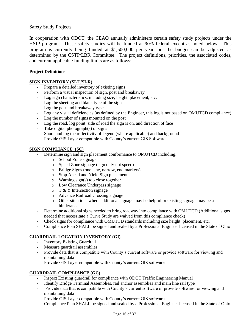### Safety Study Projects

In cooperation with ODOT, the CEAO annually administers certain safety study projects under the HSIP program. These safety studies will be funded at 90% federal except as noted below. This program is currently being funded at \$1,500,000 per year, but the budget can be adjusted as determined by the CSTP/LBR Committee. The project definitions, priorities, the associated codes, and current applicable funding limits are as follows:

### **Project Definitions**

### **SIGN INVENTORY (SI-U/SI-R)**

- Prepare a detailed inventory of existing signs
- Perform a visual inspection of sign, post and breakaway
- Log sign characteristics, including size, height, placement, etc.
- Log the sheeting and blank type of the sign
- Log the post and breakaway type
- Log any visual deficiencies (as defined by the Engineer, this log is not based on OMUTCD compliance)
- Log the number of signs mounted on the post
- Log the road, log point, side of road the sign is on, and direction of face
- Take digital photograph(s) of signs
- Shoot and log the reflectivity of legend (where applicable) and background
- Provide GIS Layer compatible with County's current GIS Software

#### **SIGN COMPLIANCE (SC)**

- Determine sign and sign placement conformance to OMUTCD including:
	- o School Zone signage
	- o Speed Zone signage (sign only not speed)
	- o Bridge Signs (one lane, narrow, end markers)
	- o Stop Ahead and Yield Sign placement
	- o Warning sign(s) too close together
	- o Low Clearance Underpass signage
	- o T & Y Intersection signage
	- o Advance Railroad Crossing signage
	- o Other situations where additional signage may be helpful or existing signage may be a hinderance
- Determine additional signs needed to bring roadway into compliance with OMUTCD (Additional signs needed that necessitate a Curve Study are waived from this compliance check)
- Check signs for compliance with OMUTCD standards including size height, placement, etc.
- Compliance Plan SHALL be signed and sealed by a Professional Engineer licensed in the State of Ohio

### **GUARDRAIL LOCATION INVENTORY (GI)**

- Inventory Existing Guardrail
- Measure guardrail assemblies
- Provide data that is compatible with County's current software or provide software for viewing and maintaining data
- Provide GIS Layer compatible with County's current GIS software

### **GUARDRAIL COMPLIANCE (GC)**

- Inspect Existing guardrail for compliance with ODOT Traffic Engineering Manual
- Identify Bridge Terminal Assemblies, rail anchor assemblies and main line rail type
- Provide data that is compatible with County's current software or provide software for viewing and maintaining data
- Provide GIS Layer compatible with County's current GIS software
- Compliance Plan SHALL be signed and sealed by a Professional Engineer licensed in the State of Ohio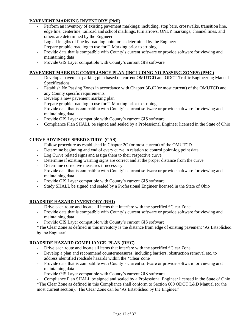### **PAVEMENT MARKING INVENTORY (PMI)**

- Perform an inventory of existing pavement markings; including, stop bars, crosswalks, transition line, edge line, centerline, railroad and school markings, turn arrows, ONLY markings, channel lines, and others are determined by the Engineer
- Log all lengths of line by road log point or as determined by the Engineer
- Prepare graphic road log to use for T-Marking prior to striping
- Provide data that is compatible with County's current software or provide software for viewing and maintaining data
- Provide GIS Layer compatible with County's current GIS software

### **PAVEMENT MARKING COMPLIANCE PLAN (INCLUDING NO PASSING ZONES) (PMC)**

- Develop a pavement parking plan based on current OMUTCD and ODOT Traffic Engineering Manual Specifications
- Establish No Passing Zones in accordance with Chapter 3B.02(or most current) of the OMUTCD and any County specific requirements
- Develop a new pavement marking plan
- Prepare graphic road log to use for T-Marking prior to striping
- Provide data that is compatible with County's current software or provide software for viewing and maintaining data
- Provide GIS Layer compatible with County's current GIS software
- Compliance Plan SHALL be signed and sealed by a Professional Engineer licensed in the State of Ohio

### **CURVE ADVISORY SPEED STUDY (CAS)**

- Follow procedure as established in Chapter 2C (or most current) of the OMUTCD
- Determine beginning and end of every curve in relation to control point $\log$  point data
- Log Curve related signs and assign them to their respective curve
- Determine if existing warning signs are correct and at the proper distance from the curve
- Determine corrective measures if necessary
- Provide data that is compatible with County's current software or provide software for viewing and maintaining data
- Provide GIS Layer compatible with County's current GIS software
- Study SHALL be signed and sealed by a Professional Engineer licensed in the State of Ohio

### **ROADSIDE HAZARD INVENTORY (RHI)**

- Drive each route and locate all items that interfere with the specified \*Clear Zone
- Provide data that is compatible with County's current software or provide software for viewing and maintaining data
- Provide GIS Layer compatible with County's current GIS software

\*The Clear Zone as defined in this inventory is the distance from edge of existing pavement 'As Established by the Engineer'

### **ROADSIDE HAZARD COMPLIANCE PLAN (RHC)**

- Drive each route and locate all items that interfere with the specified \*Clear Zone
- Develop a plan and recommend countermeasures, including barriers, obstruction removal etc. to address identified roadside hazards within the \*Clear Zone
- Provide data that is compatible with County's current software or provide software for viewing and maintaining data
- Provide GIS Layer compatible with County's current GIS software
- Compliance Plan SHALL be signed and sealed by a Professional Engineer licensed in the State of Ohio

\*The Clear Zone as defined in this Compliance shall conform to Section 600 ODOT L&D Manual (or the most current section). The Clear Zone can be 'As Established by the Engineer'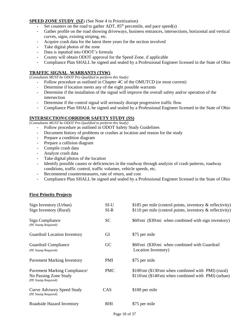#### **SPEED ZONE STUDY (SZ)** (See Note 4 in Prioritization)

- Set counters on the road to gather ADT,  $85<sup>th</sup>$  percentile, and pace speed(s)
- Gather profile on the road showing driveways, business entrances, intersections, horizontal and vertical curves, signs, existing striping, etc.
- Acquire crash data for the latest three years for the section involved
- Take digital photos of the zone
- Data is inputted into ODOT's formula
- County will obtain ODOT approval for the Speed Zone, if applicable
- Compliance Plan SHALL be signed and sealed by a Professional Engineer licensed in the State of Ohio

#### **TRAFFIC SIGNAL WARRANTS (TSW)**

*(Consultants MUST be ODOT Pre-Qualified to perform this Study)*

- Follow procedure as outlined in Chapter 4C of the OMUTCD (or most current)
- Determine if location meets any of the eight possible warrants
- Determine if the installation of the signal will improve the overall safety and/or operation of the intersection
- Determine if the control signal will seriously disrupt progressive traffic flow
- Compliance Plan SHALL be signed and sealed by a Professional Engineer licensed in the State of Ohio

#### **INTERSECTION\CORRIDOR SAFETY STUDY (SS)**

*(Consultants MUST be ODOT Pre-Qualified to perform this Study)*

- Follow procedure as outlined in ODOT Safety Study Guidelines
- Document history of problems or crashes at location and reason for the study
- Prepare a condition diagram
- Prepare a collision diagram
- Compile crash data
- Analyze crash data
- Take digital photos of the location
- Identify possible causes or deficiencies in the roadway through analysis of crash patterns, roadway conditions, traffic control, traffic volumes, vehicle speeds, etc.
- Recommend countermeasures, rate of return, and cost
- Compliance Plan SHALL be signed and sealed by a Professional Engineer licensed in the State of Ohio

#### **First Priority Projects**

| Sign Inventory (Urban)<br>Sign Inventory (Rural)                             | SI-U<br>SI-R | \$185 per mile (control points, inventory $\&$ reflectivity)<br>\$110 per mile (control points, inventory $\&$ reflectivity) |
|------------------------------------------------------------------------------|--------------|------------------------------------------------------------------------------------------------------------------------------|
| Sign Compliance<br>(PE Stamp Required)                                       | <b>SC</b>    | \$60\mi (\$30\mi when combined with sign inventory)                                                                          |
| <b>Guardrail Location Inventory</b>                                          | GI           | \$75 per mile                                                                                                                |
| Guardrail Compliance<br>(PE Stamp Required)                                  | GC           | \$60\mi (\$30\mi when combined with Guardrail<br>Location Inventory)                                                         |
| <b>Pavement Marking Inventory</b>                                            | PMI          | \$75 per mile                                                                                                                |
| Pavement Marking Compliance/<br>No Passing Zone Study<br>(PE Stamp Required) | <b>PMC</b>   | \$100\mi (\$130\mi when combined with PMI) (rural)<br>$$110\mid\text{m}i$ (\$140\mi when combined with PMI) (urban)          |
| <b>Curve Advisory Speed Study</b><br>(PE Stamp Required)                     | <b>CAS</b>   | \$100 per mile                                                                                                               |
| Roadside Hazard Inventory                                                    | RHI          | \$75 per mile                                                                                                                |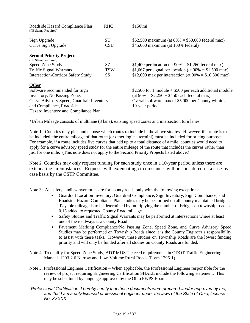| Roadside Hazard Compliance Plan<br>(PE Stamp Required)                                                                                                                                       | <b>RHC</b>                     | \$150\mi                                                                                                                                                                                                                                      |
|----------------------------------------------------------------------------------------------------------------------------------------------------------------------------------------------|--------------------------------|-----------------------------------------------------------------------------------------------------------------------------------------------------------------------------------------------------------------------------------------------|
| Sign Upgrade<br>Curve Sign Upgrade                                                                                                                                                           | SU<br><b>CSU</b>               | \$62,500 maximum (at $80\% = $50,000$ federal max)<br>\$45,000 maximum (at 100% federal)                                                                                                                                                      |
| <b>Second Priority Projects</b><br>(PE Stamp Required)<br>Speed Zone Study<br><b>Traffic Signal Warrants</b>                                                                                 | SZ.<br><b>TSW</b><br><b>SS</b> | \$1,400 per location (at $90\% = $1,260$ federal max)<br>\$1,667 per signal per location (at $90\% = $1,500$ max)                                                                                                                             |
| <b>Intersection</b> \Corridor Safety Study<br>Other<br>Software recommended for Sign<br>Inventory, No Passing Zone,<br>Curve Advisory Speed, Guardrail Inventory<br>and Compliance, Roadside |                                | \$12,000 max per intersection (at $90\% = $10,800$ max)<br>\$2,500 for 1 module $+$ \$500 per each additional module<br>$(at 90\% = $2,250 + $450$ each federal max)<br>Overall software max of \$5,000 per County within a<br>10-year period |
| Hazard Inventory and Compliance Plan                                                                                                                                                         |                                |                                                                                                                                                                                                                                               |

\*Urban Mileage consists of multilane (3 lane), existing speed zones and intersection turn lanes.

Note 1: Counties may pick and choose which routes to include in the above studies. However, if a route is to be included, the entire mileage of that route (or other logical termini) must be included for pricing purposes. For example, if a route includes five curves that add up to a total distance of a mile, counties would need to apply for a curve advisory speed study for the entire mileage of the route that includes the curves rather than just for one mile. (This note does not apply to the Second Priority Projects listed above.)

Note 2: Counties may only request funding for each study once in a 10-year period unless there are extenuating circumstances. Requests with extenuating circumstances will be considered on a case-bycase basis by the CSTP Committee.

Note 3: All safety studies/inventories are for county roads only with the following exceptions:

- Guardrail Location Inventory, Guardrail Compliance, Sign Inventory, Sign Compliance, and Roadside Hazard Compliance Plan studies may be performed on all county maintained bridges. Payable mileage is to be determined by multiplying the number of bridges on township roads x 0.15 added to requested County Road mileage
- Safety Studies and Traffic Signal Warrants may be performed at intersections where at least one of the roadways is a County Road
- Pavement Marking Compliance/No Passing Zone, Speed Zone, and Curve Advisory Speed Studies may be performed on Township Roads since it is the County Engineer's responsibility to assist with these tasks. However, these studies on Township Roads are the lowest funding priority and will only be funded after all studies on County Roads are funded.
- Note 4: To qualify for Speed Zone Study, ADT MUST exceed requirements in ODOT Traffic Engineering Manual 1203-2.6 Narrow and Low-Volume Rural Roads (Form 1296-1)
- Note 5: Professional Engineer Certification When applicable, the Professional Engineer responsible for the review of project requiring Engineering Certification SHALL include the following statement. This may be substituted by language approved by the Ohio PE/PS Board.
- *"Professional Certification. I hereby certify that these documents were prepared and/or approved by me, and that I am a duly licensed professional engineer under the laws of the State of Ohio, License No. XXXXX*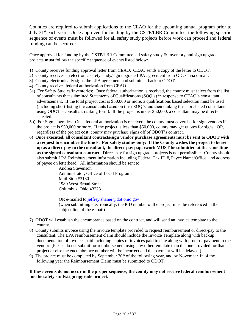Counties are required to submit applications to the CEAO for the upcoming annual program prior to July 31st each year. Once approved for funding by the CSTP/LBR Committee, the following specific sequence of events must be followed for all safety study projects before work can proceed and federal funding can be secured:

Once approved for funding by the CSTP/LBR Committee, all safety study  $\&$  inventory and sign upgrade projects **must** follow the specific sequence of events listed below:

- 1) County receives funding approval letter from CEAO. CEAO sends a copy of the letter to ODOT.
- 2) County receives an electronic safety study/sign upgrade LPA agreement from ODOT via e-mail.
- 3) County electronically signs the LPA agreement and submits it back to ODOT.
- 4) County receives federal authorization from CEAO.
- 5a) For Safety Studies/Inventories: Once federal authorization is received, the county must select from the list of consultants that submitted Statements of Qualifications (SOQ's) in response to CEAO's consultant advertisement. If the total project cost is \$50,000 or more, a qualifications based selection must be used (including short-listing the consultants based on their SOQ's and then ranking the short-listed consultants using ODOT's consultant ranking form). If the project is under \$50,000, a consultant may be directselected.
- 5b) For Sign Upgrades: Once federal authorization is received, the county must advertise for sign vendors if the project is \$50,000 or more. If the project is less than \$50,000, county may get quotes for signs. OR, regardless of the project cost, county may purchase signs off of ODOT's contract.
- 6) **Once executed, all consultant contracts/sign vendor purchase agreements must be sent to ODOT with a request to encumber the funds. For safety studies only: If the County wishes the project to be set up as a direct-pay to the consultant, the direct-pay paperwork MUST be submitted at the same time as the signed consultant contract.** Direct-pay for sign upgrade projects is not permissible. County should also submit LPA Reimbursement information including Federal Tax ID #, Payee Name/Office, and address of payee on letterhead. All information should be sent to:

Andrea Stevenson Administrator, Office of Local Programs Mail Stop #3180 1980 West Broad Street Columbus, Ohio 43223

OR e-mailed to [jeffrey.shaner@dot.ohio.gov](mailto:jeffrey.shaner@dot.ohio.gov) (when submitting electronically, the PID number of the project must be referenced in the subject line of the e-mail)

- 7) ODOT will establish the encumbrance based on the contract, and will send an invoice template to the county.
- 8) County submits invoice using the invoice template provided to request reimbursement or direct-pay to the consultant. The LPA reimbursement claim should include the Invoice Template along with backup documentation of invoices paid including copies of invoices paid to date along with proof of payment to the vendor. (Please do not submit for reimbursement using any other template than the one provided for that project or else the encumbrance number will be incorrect and the payment will be delayed.)
- 9) The project must be completed by September  $30<sup>th</sup>$  of the following year, and by November  $1<sup>st</sup>$  of the following year the Reimbursement Claim must be submitted to ODOT.

#### **If these events do not occur in the proper sequence, the county may not receive federal reimbursement for the safety study/sign upgrade project.**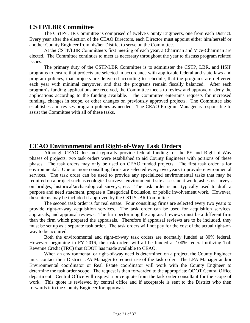### **CSTP/LBR Committee**

The CSTP/LBR Committee is comprised of twelve County Engineers, one from each District. Every year after the election of the CEAO Directors, each Director must appoint either him/herself or another County Engineer from his/her District to serve on the Committee.

At the CSTP/LBR Committee's first meeting of each year, a Chairman and Vice-Chairman are elected. The Committee continues to meet as necessary throughout the year to discuss program related issues.

The primary duty of the CSTP/LBR Committee is to administer the CSTP, LBR, and HSIP programs to ensure that projects are selected in accordance with applicable federal and state laws and program policies, that projects are delivered according to schedule, that the programs are delivered each year with minimal carryover, and that the programs remain fiscally balanced. After each program's funding applications are received, the Committee meets to review and approve or deny the applications according to the funding available. The Committee entertains requests for increased funding, changes in scope, or other changes on previously approved projects. The Committee also establishes and revises program policies as needed. The CEAO Program Manager is responsible to assist the Committee with all of these tasks.

### **CEAO Environmental and Right-of-Way Task Orders**

Although CEAO does not typically provide federal funding for the PE and Right-of-Way phases of projects, two task orders were established to aid County Engineers with portions of these phases. The task orders may only be used on CEAO funded projects. The first task order is for environmental. One or more consulting firms are selected every two years to provide environmental services. The task order can be used to provide any specialized environmental tasks that may be required on a project such as ecological surveys, environmental site assessment work, asbestos surveys on bridges, historical/archaeological surveys, etc. The task order is not typically used to draft a purpose and need statement, prepare a Categorical Exclusion, or public involvement work. However, these items may be included if approved by the CSTP/LBR Committee.

The second task order is for real estate. Four consulting firms are selected every two years to provide right-of-way acquisition services. The task order can be used for acquisition services, appraisals, and appraisal reviews. The firm performing the appraisal reviews must be a different firm than the firm which prepared the appraisals. Therefore if appraisal reviews are to be included, they must be set up as a separate task order. The task orders will not pay for the cost of the actual right-ofway to be acquired.

Both the environmental and right-of-way task orders are normally funded at 80% federal. However, beginning in FY 2016, the task orders will all be funded at 100% federal utilizing Toll Revenue Credit (TRC) that ODOT has made available to CEAO.

When an environmental or right-of-way need is determined on a project, the County Engineer must contact their District LPA Manager to request use of the task order. The LPA Manager and/or Environmental coordinator or Real Estate coordinator will work with the County Engineer to determine the task order scope. The request is then forwarded to the appropriate ODOT Central Office department. Central Office will request a price quote from the task order consultant for the scope of work. This quote is reviewed by central office and if acceptable is sent to the District who then forwards it to the County Engineer for approval.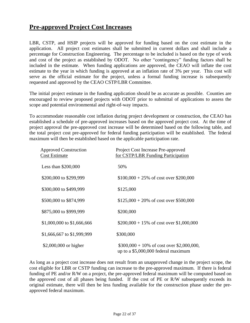### **Pre-approved Project Cost Increases**

LBR, CSTP, and HSIP projects will be approved for funding based on the cost estimate in the application. All project cost estimates shall be submitted in current dollars and shall include a percentage for Construction Engineering. The percentage to be included is based on the type of work and cost of the project as established by ODOT. No other "contingency" funding factors shall be included in the estimate. When funding applications are approved, the CEAO will inflate the cost estimate to the year in which funding is approved at an inflation rate of 3% per year. This cost will serve as the official estimate for the project, unless a formal funding increase is subsequently requested and approved by the CEAO CSTP/LBR Committee.

The initial project estimate in the funding application should be as accurate as possible. Counties are encouraged to review proposed projects with ODOT prior to submittal of applications to assess the scope and potential environmental and right-of-way impacts.

To accommodate reasonable cost inflation during project development or construction, the CEAO has established a schedule of pre-approved increases based on the approved project cost. At the time of project approval the pre-approved cost increase will be determined based on the following table, and the total project cost pre-approved for federal funding participation will be established. The federal maximum will then be established based on the applicable participation rate.

| <b>Approved Construction</b><br><b>Cost Estimate</b> | Project Cost Increase Pre-approved<br>for CSTP/LBR Funding Participation           |
|------------------------------------------------------|------------------------------------------------------------------------------------|
| Less than $$200,000$                                 | 50%                                                                                |
| \$200,000 to \$299,999                               | $$100,000 + 25\%$ of cost over \$200,000                                           |
| \$300,000 to \$499,999                               | \$125,000                                                                          |
| \$500,000 to \$874,999                               | $$125,000 + 20\%$ of cost over \$500,000                                           |
| \$875,000 to \$999,999                               | \$200,000                                                                          |
| \$1,000,000 to \$1,666,666                           | $$200,000 + 15\%$ of cost over \$1,000,000                                         |
| \$1,666,667 to \$1,999,999                           | \$300,000                                                                          |
| \$2,000,000 or higher                                | $$300,000 + 10\%$ of cost over \$2,000,000,<br>up to a \$5,000,000 federal maximum |

As long as a project cost increase does not result from an unapproved change in the project scope, the cost eligible for LBR or CSTP funding can increase to the pre-approved maximum. If there is federal funding of PE and/or R/W on a project, the pre-approved federal maximum will be computed based on the approved cost of all phases being funded. If the cost of PE or R/W subsequently exceeds its original estimate, there will then be less funding available for the construction phase under the preapproved federal maximum.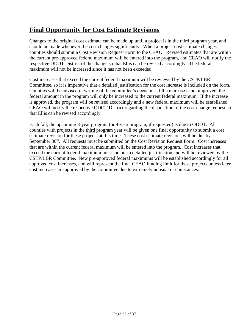### **Final Opportunity for Cost Estimate Revisions**

Changes to the original cost estimate can be made up until a project is in the third program year, and should be made whenever the cost changes significantly. When a project cost estimate changes, counties should submit a Cost Revision Request Form to the CEAO. Revised estimates that are within the current pre-approved federal maximum will be entered into the program, and CEAO will notify the respective ODOT District of the change so that Ellis can be revised accordingly. The federal maximum will not be increased since it has not been exceeded.

Cost increases that exceed the current federal maximum will be reviewed by the CSTP/LBR Committee, so it is imperative that a detailed justification for the cost increase is included on the form. Counties will be advised in writing of the committee's decision. If the increase is not approved, the federal amount in the program will only be increased to the current federal maximum. If the increase is approved, the program will be revised accordingly and a new federal maximum will be established. CEAO will notify the respective ODOT District regarding the disposition of the cost change request so that Ellis can be revised accordingly.

Each fall, the upcoming 3-year program (or 4-year program, if requested) is due to ODOT. All counties with projects in the third program year will be given one final opportunity to submit a cost estimate revision for these projects at this time. These cost estimate revisions will be due by September 30<sup>th</sup>. All requests must be submitted on the Cost Revision Request Form. Cost increases that are within the current federal maximum will be entered into the program. Cost increases that exceed the current federal maximum must include a detailed justification and will be reviewed by the CSTP/LBR Committee. New pre-approved federal maximums will be established accordingly for all approved cost increases, and will represent the final CEAO funding limit for these projects unless later cost increases are approved by the committee due to extremely unusual circumstances.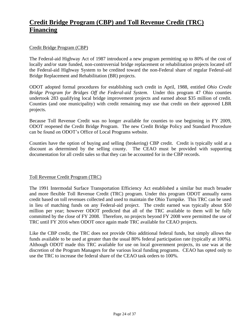### **Credit Bridge Program (CBP) and Toll Revenue Credit (TRC) Financing**

### Credit Bridge Program (CBP)

The Federal-aid Highway Act of 1987 introduced a new program permitting up to 80% of the cost of locally and/or state funded, non-controversial bridge replacement or rehabilitation projects located off the Federal-aid Highway System to be credited toward the non-Federal share of regular Federal-aid Bridge Replacement and Rehabilitation (BR) projects.

ODOT adopted formal procedures for establishing such credit in April, 1988, entitled *Ohio Credit Bridge Program for Bridges Off the Federal-aid System*. Under this program 47 Ohio counties undertook 283 qualifying local bridge improvement projects and earned about \$35 million of credit. Counties (and one municipality) with credit remaining may use that credit on their approved LBR projects.

Because Toll Revenue Credit was no longer available for counties to use beginning in FY 2009, ODOT reopened the Credit Bridge Program. The new Credit Bridge Policy and Standard Procedure can be found on ODOT's Office of Local Programs website.

Counties have the option of buying and selling (brokering) CBP credit. Credit is typically sold at a discount as determined by the selling county. The CEAO must be provided with supporting documentation for all credit sales so that they can be accounted for in the CBP records.

### Toll Revenue Credit Program (TRC)

The 1991 Intermodal Surface Transportation Efficiency Act established a similar but much broader and more flexible Toll Revenue Credit (TRC) program. Under this program ODOT annually earns credit based on toll revenues collected and used to maintain the Ohio Turnpike. This TRC can be used in lieu of matching funds on any Federal-aid project. The credit earned was typically about \$50 million per year; however ODOT predicted that all of the TRC available to them will be fully committed by the close of FY 2008. Therefore, no projects beyond FY 2008 were permitted the use of TRC until FY 2016 when ODOT once again made TRC available for CEAO projects.

Like the CBP credit, the TRC does not provide Ohio additional federal funds, but simply allows the funds available to be used at greater than the usual 80% federal participation rate (typically at 100%). Although ODOT made this TRC available for use on local government projects, its use was at the discretion of the Program Managers for the various local funding programs. CEAO has opted only to use the TRC to increase the federal share of the CEAO task orders to 100%.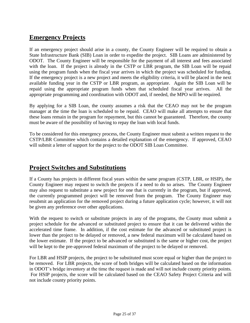### **Emergency Projects**

If an emergency project should arise in a county, the County Engineer will be required to obtain a State Infrastructure Bank (SIB) Loan in order to expedite the project. SIB Loans are administered by ODOT. The County Engineer will be responsible for the payment of all interest and fees associated with the loan. If the project is already in the CSTP or LBR program, the SIB Loan will be repaid using the program funds when the fiscal year arrives in which the project was scheduled for funding. If the emergency project is a new project and meets the eligibility criteria, it will be placed in the next available funding year in the CSTP or LBR program, as appropriate. Again the SIB Loan will be repaid using the appropriate program funds when that scheduled fiscal year arrives. All the appropriate programming and coordination with ODOT and, if needed, the MPO will be required.

By applying for a SIB Loan, the county assumes a risk that the CEAO may not be the program manager at the time the loan is scheduled to be repaid. CEAO will make all attempts to ensure that these loans remain in the program for repayment, but this cannot be guaranteed. Therefore, the county must be aware of the possibility of having to repay the loan with local funds.

To be considered for this emergency process, the County Engineer must submit a written request to the CSTP/LBR Committee which contains a detailed explanation of the emergency. If approved, CEAO will submit a letter of support for the project to the ODOT SIB Loan Committee.

### **Project Switches and Substitutions**

If a County has projects in different fiscal years within the same program (CSTP, LBR, or HSIP), the County Engineer may request to switch the projects if a need to do so arises. The County Engineer may also request to substitute a new project for one that is currently in the program, but if approved, the currently programmed project will be removed from the program. The County Engineer may resubmit an application for the removed project during a future application cycle; however, it will not be given any preference over other applications.

With the request to switch or substitute projects in any of the programs, the County must submit a project schedule for the advanced or substituted project to ensure that it can be delivered within the accelerated time frame. In addition, if the cost estimate for the advanced or substituted project is lower than the project to be delayed or removed, a new federal maximum will be calculated based on the lower estimate. If the project to be advanced or substituted is the same or higher cost, the project will be kept to the pre-approved federal maximum of the project to be delayed or removed.

For LBR and HSIP projects, the project to be substituted must score equal or higher than the project to be removed. For LBR projects, the score of both bridges will be calculated based on the information in ODOT's bridge inventory at the time the request is made and will not include county priority points. For HSIP projects, the score will be calculated based on the CEAO Safety Project Criteria and will not include county priority points.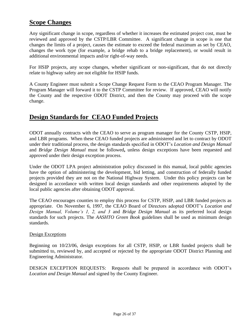### **Scope Changes**

Any significant change in scope, regardless of whether it increases the estimated project cost, must be reviewed and approved by the CSTP/LBR Committee. A significant change in scope is one that changes the limits of a project, causes the estimate to exceed the federal maximum as set by CEAO, changes the work type (for example, a bridge rehab to a bridge replacement), or would result in additional environmental impacts and/or right-of-way needs.

For HSIP projects, any scope changes, whether significant or non-significant, that do not directly relate to highway safety are not eligible for HSIP funds.

A County Engineer must submit a Scope Change Request Form to the CEAO Program Manager. The Program Manager will forward it to the CSTP Committee for review. If approved, CEAO will notify the County and the respective ODOT District, and then the County may proceed with the scope change.

### **Design Standards for CEAO Funded Projects**

ODOT annually contracts with the CEAO to serve as program manager for the County CSTP, HSIP, and LBR programs. When these CEAO funded projects are administered and let to contract by ODOT under their traditional process, the design standards specified in ODOT's *Location and Design Manual* and *Bridge Design Manual* must be followed**,** unless design exceptions have been requested and approved under their design exception process.

Under the ODOT LPA project administration policy discussed in this manual, local public agencies have the option of administering the development, bid letting, and construction of federally funded projects provided they are not on the National Highway System. Under this policy projects can be designed in accordance with written local design standards and other requirements adopted by the local public agencies after obtaining ODOT approval.

The CEAO encourages counties to employ this process for CSTP, HSIP, and LBR funded projects as appropriate. On November 6, 1997, the CEAO Board of Directors adopted ODOT's *Location and Design Manual, Volume's 1, 2, and 3* and *Bridge Design Manual* as its preferred local design standards for such projects. The *AASHTO Green Book* guidelines shall be used as minimum design standards.

### Design Exceptions

Beginning on 10/23/06, design exceptions for all CSTP, HSIP, or LBR funded projects shall be submitted to, reviewed by, and accepted or rejected by the appropriate ODOT District Planning and Engineering Administrator.

DESIGN EXCEPTION REQUESTS: Requests shall be prepared in accordance with ODOT's *Location and Design Manual* and signed by the County Engineer.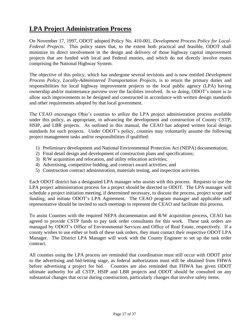### **LPA Project Administration Process**

On November 17, 1997, ODOT adopted Policy No. 410-001, *Development Process Policy for Local-Federal Projects*. This policy states that, to the extent both practical and feasible, ODOT shall minimize its direct involvement in the design and delivery of those highway capital improvement projects that are funded with local and Federal monies, and which do not directly involve routes comprising the National Highway System.

The objective of this policy, which has undergone several revisions and is now entitled *Development Process Policy, Locally-Administered Transportation Projects*, is to return the primary duties and responsibilities for local highway improvement projects to the local public agency (LPA) having ownership and/or maintenance purview over the facilities involved. In so doing, ODOT's intent is to allow such improvements to be designed and constructed in accordance with written design standards and other requirements adopted by that local government.

The CEAO encourages Ohio's counties to utilize the LPA project administration process available under this policy, as appropriate, in advancing the development and construction of County CSTP, HSIP, and LBR projects. As outlined in this manual, the CEAO has adopted written local design standards for such projects. Under ODOT's policy, counties may voluntarily assume the following project management tasks and/or responsibilities if qualified:

- 1) Preliminary development and National Environmental Protection Act (NEPA) documentation;
- 2) Final detail design and development of construction plans and specifications;
- 3) R/W acquisition and relocation, and utility relocation activities;
- 4) Advertising, competitive bidding, and contract award activities; and
- 5) Construction contract administration, materials testing, and inspection activities.

Each ODOT district has a designated LPA manager who assists with this process. Requests to use the LPA project administration process for a project should be directed to ODOT. The LPA manager will schedule a project initiation meeting, if determined necessary, to discuss the process, project scope and funding, and initiate ODOT's LPA Agreement. The CEAO program manager and applicable staff representative should be invited to such meetings to represent the CEAO and facilitate this process.

To assist Counties with the required NEPA documentation and R/W acquisition process, CEAO has agreed to provide CSTP funds to pay task order consultants for this work. These task orders are managed by ODOT's Office of Environmental Services and Office of Real Estate, respectively. If a county wishes to use either or both of these task orders, they must contact their respective ODOT LPA Manager. The District LPA Manager will work with the County Engineer to set up the task order contract.

All counties using the LPA process are reminded that coordination must still occur with ODOT prior to the advertising and bid-letting stage, as federal authorization must still be obtained from FHWA before advertising a project for bid. Counties are also reminded that FHWA has given ODOT ultimate authority for all CSTP, HSIP and LBR projects and ODOT should be consulted on any substantial changes that occur during construction, particularly changes that involve safety items.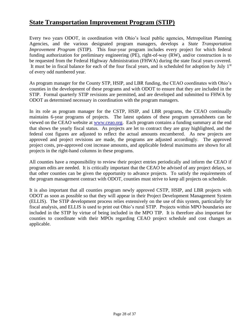### **State Transportation Improvement Program (STIP)**

Every two years ODOT, in coordination with Ohio's local public agencies, Metropolitan Planning Agencies, and the various designated program managers, develops a *State Transportation Improvement Program* (STIP). This four-year program includes every project for which federal funding authorization for preliminary engineering (PE), right-of-way (RW), and/or construction is to be requested from the Federal Highway Administration (FHWA) during the state fiscal years covered. It must be in fiscal balance for each of the four fiscal years, and is scheduled for adoption by July 1<sup>st</sup> of every odd numbered year.

As program manager for the County STP, HSIP, and LBR funding, the CEAO coordinates with Ohio's counties in the development of these programs and with ODOT to ensure that they are included in the STIP. Formal quarterly STIP revisions are permitted, and are developed and submitted to FHWA by ODOT as determined necessary in coordination with the program managers.

In its role as program manager for the CSTP, HSIP, and LBR programs, the CEAO continually maintains 6-year programs of projects. The latest updates of these program spreadsheets can be viewed on the CEAO website at [www.ceao.org.](http://www.ceao.org/) Each program contains a funding summary at the end that shows the yearly fiscal status. As projects are let to contract they are gray highlighted, and the federal cost figures are adjusted to reflect the actual amounts encumbered. As new projects are approved and project revisions are made, the programs are adjusted accordingly. The approved project costs, pre-approved cost increase amounts, and applicable federal maximums are shown for all projects in the right-hand columns in these programs.

All counties have a responsibility to review their project entries periodically and inform the CEAO if program edits are needed. It is critically important that the CEAO be advised of any project delays, so that other counties can be given the opportunity to advance projects. To satisfy the requirements of the program management contract with ODOT, counties must strive to keep all projects on schedule.

It is also important that all counties program newly approved CSTP, HSIP, and LBR projects with ODOT as soon as possible so that they will appear in their Project Development Management System (ELLIS). The STIP development process relies extensively on the use of this system, particularly for fiscal analysis, and ELLIS is used to print out Ohio's rural STIP. Projects within MPO boundaries are included in the STIP by virtue of being included in the MPO TIP. It is therefore also important for counties to coordinate with their MPOs regarding CEAO project schedule and cost changes as applicable.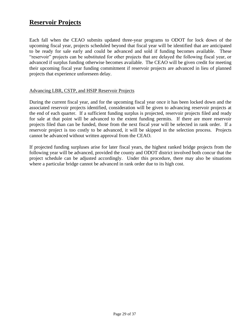### **Reservoir Projects**

Each fall when the CEAO submits updated three-year programs to ODOT for lock down of the upcoming fiscal year, projects scheduled beyond that fiscal year will be identified that are anticipated to be ready for sale early and could be advanced and sold if funding becomes available. These "reservoir" projects can be substituted for other projects that are delayed the following fiscal year, or advanced if surplus funding otherwise becomes available. The CEAO will be given credit for meeting their upcoming fiscal year funding commitment if reservoir projects are advanced in lieu of planned projects that experience unforeseen delay.

### Advancing LBR, CSTP, and HSIP Reservoir Projects

During the current fiscal year, and for the upcoming fiscal year once it has been locked down and the associated reservoir projects identified, consideration will be given to advancing reservoir projects at the end of each quarter. If a sufficient funding surplus is projected, reservoir projects filed and ready for sale at that point will be advanced to the extent funding permits. If there are more reservoir projects filed than can be funded, those from the next fiscal year will be selected in rank order. If a reservoir project is too costly to be advanced, it will be skipped in the selection process. Projects cannot be advanced without written approval from the CEAO.

If projected funding surpluses arise for later fiscal years, the highest ranked bridge projects from the following year will be advanced, provided the county and ODOT district involved both concur that the project schedule can be adjusted accordingly. Under this procedure, there may also be situations where a particular bridge cannot be advanced in rank order due to its high cost.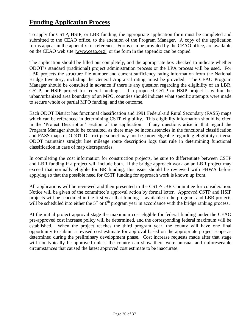### **Funding Application Process**

To apply for CSTP, HSIP, or LBR funding, the appropriate application form must be completed and submitted to the CEAO office, to the attention of the Program Manager. A copy of the application forms appear in the appendix for reference. Forms can be provided by the CEAO office, are available on the CEAO web site [\(www.ceao.org\),](http://www.ceao.org)/) or the form in the appendix can be copied.

The application should be filled out completely, and the appropriate box checked to indicate whether ODOT's standard (traditional) project administration process or the LPA process will be used. For LBR projects the structure file number and current sufficiency rating information from the National Bridge Inventory, including the General Appraisal rating, must be provided. The CEAO Program Manager should be consulted in advance if there is any question regarding the eligibility of an LBR, CSTP, or HSIP project for federal funding. If a proposed CSTP or HSIP project is within the urban/urbanized area boundary of an MPO, counties should indicate what specific attempts were made to secure whole or partial MPO funding, and the outcome.

Each ODOT District has functional classification and 1991 Federal-aid Rural Secondary (FASS) maps which can be referenced in determining CSTP eligibility. This eligibility information should be cited in the 'Project Description' section of the application. If any questions arise in that regard the Program Manager should be consulted, as there may be inconsistencies in the functional classification and FASS maps or ODOT District personnel may not be knowledgeable regarding eligibility criteria. ODOT maintains straight line mileage route description logs that rule in determining functional classification in case of map discrepancies.

In completing the cost information for construction projects, be sure to differentiate between CSTP and LBR funding if a project will include both. If the bridge approach work on an LBR project may exceed that normally eligible for BR funding, this issue should be reviewed with FHWA before applying so that the possible need for CSTP funding for approach work is known up front.

All applications will be reviewed and then presented to the CSTP/LBR Committee for consideration. Notice will be given of the committee's approval action by formal letter. Approved CSTP and HSIP projects will be scheduled in the first year that funding is available in the program, and LBR projects will be scheduled into either the  $5<sup>th</sup>$  or  $6<sup>th</sup>$  program year in accordance with the bridge ranking process.

At the initial project approval stage the maximum cost eligible for federal funding under the CEAO pre-approved cost increase policy will be determined, and the corresponding federal maximum will be established. When the project reaches the third program year, the county will have one final opportunity to submit a revised cost estimate for approval based on the appropriate project scope as determined during the preliminary development phase. Cost increase requests made after that stage will not typically be approved unless the county can show there were unusual and unforeseeable circumstances that caused the latest approved cost estimate to be inaccurate.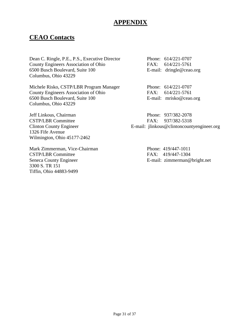### **APPENDIX**

### **CEAO Contacts**

Dean C. Ringle, P.E., P.S., Executive Director Phone: 614/221-0707 County Engineers Association of Ohio FAX: 614/221-5761 6500 Busch Boulevard, Suite 100 E-mail: dringle@ceao.org Columbus, Ohio 43229

Michele Risko, CSTP/LBR Program Manager Phone: 614/221-0707 County Engineers Association of Ohio FAX: 614/221-5761 6500 Busch Boulevard, Suite 100 E-mail: mrisko@ceao.org Columbus, Ohio 43229

Jeff Linkous, Chairman Phone: 937/382-2078 CSTP/LBR Committee FAX: 937/382-5318 1326 Fife Avenue Wilmington, Ohio 45177-2462

Mark Zimmerman, Vice-Chairman Phone: 419/447-1011 CSTP/LBR Committee FAX: 419/447-1304 Seneca County Engineer **E-mail:** zimmerman@bright.net 3300 S. TR 151 Tiffin, Ohio 44883-9499

Clinton County Engineer **E-mail:** jlinkous@clintoncountyengineer.org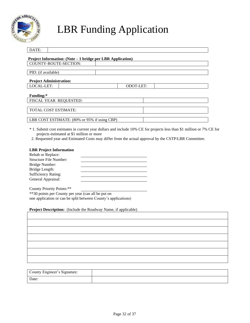

## LBR Funding Application

| DATE:                                                      |                  |  |
|------------------------------------------------------------|------------------|--|
| Project Information: (Note – 1 bridge per LBR Application) |                  |  |
| COUNTY-ROUTE-SECTION:                                      |                  |  |
| PID: (if available)                                        |                  |  |
| <b>Project Administration:</b>                             |                  |  |
| LOCAL-LET:                                                 | <b>ODOT-LET:</b> |  |
| Funding:*                                                  |                  |  |
| FISCAL YEAR REQUESTED:                                     |                  |  |
| <b>TOTAL COST ESTIMATE:</b>                                |                  |  |
| LBR COST ESTIMATE: (80% or 95% if using CBP)               |                  |  |

- \* 1. Submit cost estimates in current year dollars and include 10% CE for projects less than \$1 million or 7% CE for projects estimated at \$1 million or more
- 2. Requested year and Estimated Costs may differ from the actual approval by the CSTP/LBR Committee.

#### **LBR Project Information**

| Rehab or Replace:          |  |
|----------------------------|--|
| Structure File Number:     |  |
| Bridge Number:             |  |
| Bridge Length:             |  |
| <b>Sufficiency Rating:</b> |  |
| General Appraisal:         |  |

County Priority Points:\*\* \*\*30 points per County per year (can all be put on one application or can be split between County's applications)

**Project Description:** (Include the Roadway Name, if applicable)

| County Engineer's Signature: |  |
|------------------------------|--|
| Date:                        |  |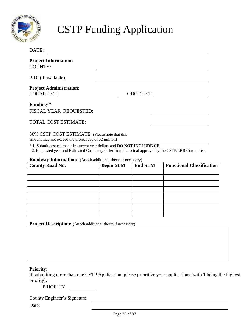

## CSTP Funding Application

| Roadway Information: (Attach additional sheets if necessary)<br><b>County Road No.</b>                  | <b>Begin SLM</b> | <b>End SLM</b>   | <b>Functional Classification</b> |
|---------------------------------------------------------------------------------------------------------|------------------|------------------|----------------------------------|
|                                                                                                         |                  |                  |                                  |
| 2. Requested year and Estimated Costs may differ from the actual approval by the CSTP/LBR Committee.    |                  |                  |                                  |
| * 1. Submit cost estimates in current year dollars and DO NOT INCLUDE CE                                |                  |                  |                                  |
| 80% CSTP COST ESTIMATE: (Please note that this<br>amount may not exceed the project cap of \$2 million) |                  |                  |                                  |
|                                                                                                         |                  |                  |                                  |
| <b>TOTAL COST ESTIMATE:</b>                                                                             |                  |                  |                                  |
| FISCAL YEAR REQUESTED:                                                                                  |                  |                  |                                  |
| Funding:*                                                                                               |                  |                  |                                  |
|                                                                                                         |                  |                  |                                  |
| <b>Project Administration:</b><br>LOCAL-LET:                                                            |                  | <b>ODOT-LET:</b> |                                  |
| PID: (if available)                                                                                     |                  |                  |                                  |
| <b>COUNTY:</b>                                                                                          |                  |                  |                                  |
| <b>Project Information:</b>                                                                             |                  |                  |                                  |

**Project Description:** (Attach additional sheets if necessary)

### **Priority:**

If submitting more than one CSTP Application, please prioritize your applications (with 1 being the highest priority):

### PRIORITY

County Engineer's Signature:

Date: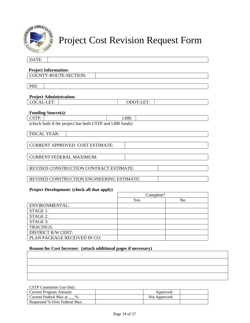

## Project Cost Revision Request Form

| DATE:                                                   |                  |
|---------------------------------------------------------|------------------|
|                                                         |                  |
| <b>Project Information:</b>                             |                  |
| COUNTY-ROUTE-SECTION:                                   |                  |
|                                                         |                  |
| PID:                                                    |                  |
|                                                         |                  |
| <b>Project Administration:</b>                          |                  |
| LOCAL-LET:                                              | <b>ODOT-LET:</b> |
|                                                         |                  |
| <b>Funding Source(s):</b>                               |                  |
| CSTP:                                                   | LBR:             |
| (check both if the project has both CSTP and LBR funds) |                  |
| <b>FISCAL YEAR:</b>                                     |                  |
|                                                         |                  |
|                                                         |                  |
| <b>CURRENT APPROVED COST ESTIMATE:</b>                  |                  |
|                                                         |                  |
| <b>CURRENT FEDERAL MAXIMUM:</b>                         |                  |
|                                                         |                  |
| REVISED CONSTRUCTION CONTRACT ESTIMATE:                 |                  |
|                                                         |                  |
| REVISED CONSTRUCTION ENGINEERING ESTIMATE:              |                  |
| <b>P. L.P. L. L. L. L. L. L. L.</b>                     |                  |

#### **Project Development: (check all that apply)**

|                              | Complete? |                |
|------------------------------|-----------|----------------|
|                              | Yes       | N <sub>0</sub> |
| <b>ENVIRONMENTAL:</b>        |           |                |
| STAGE 1:                     |           |                |
| STAGE 2:                     |           |                |
| STAGE 3:                     |           |                |
| <b>TRACINGS:</b>             |           |                |
| <b>DISTRICT R/W CERT:</b>    |           |                |
| PLAN PACKAGE RECEIVED IN CO: |           |                |

### **Reason for Cost Increase: (attach additional pages if necessary)**

#### CSTP Committee Use Only:

| Current Program Amount:          | Approved:     |  |
|----------------------------------|---------------|--|
| Current Federal Max at<br>$\%$ : | Not Approved: |  |
| Requested % Over Federal Max:    |               |  |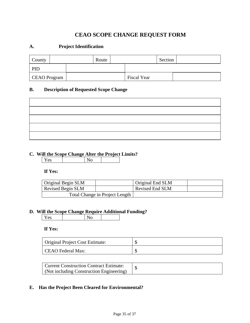### **CEAO SCOPE CHANGE REQUEST FORM**

### **A. Project Identification**

| County       |  | Route |                    | Section |  |
|--------------|--|-------|--------------------|---------|--|
| PID          |  |       |                    |         |  |
| CEAO Program |  |       | <b>Fiscal Year</b> |         |  |

### **B. Description of Requested Scope Change**

### **C. Will the Scope Change Alter the Project Limits?**

Yes No

### **If Yes:**

| Original Begin SLM |                                | Original End SLM |  |
|--------------------|--------------------------------|------------------|--|
| Revised Begin SLM  |                                | Revised End SLM  |  |
|                    | Total Change in Project Length |                  |  |

## **D. Will the Scope Change Require Additional Funding?**<br> **Property**

Yes

### **If Yes:**

| Original Project Cost Estimate: |  |
|---------------------------------|--|
| CEAO Federal Max:               |  |

| Current Construction Contract Estimate:  |  |
|------------------------------------------|--|
| (Not including Construction Engineering) |  |

### **E. Has the Project Been Cleared for Environmental?**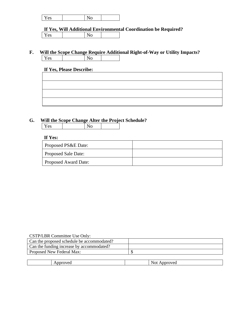**If Yes, Will Additional Environmental Coordination be Required?** Yes No

**F.** Will the Scope Change Require Additional Right-of-Way or Utility Impacts?<br>
<u>Yes</u> Yes

### **If Yes, Please Describe:**

### **G. Will the Scope Change Alter the Project Schedule?**

| $_{ex}$<br>∸ ∽ | $\check{ }$ |  |
|----------------|-------------|--|

### **If Yes:**

| Proposed PS&E Date:        |  |
|----------------------------|--|
| <b>Proposed Sale Date:</b> |  |
| Proposed Award Date:       |  |

| CSTP/LBR Committee Use Only:               |  |
|--------------------------------------------|--|
| Can the proposed schedule be accommodated? |  |
| Can the funding increase by accommodated?  |  |
| Proposed New Federal Max:                  |  |
|                                            |  |

|   | $\sim$           |
|---|------------------|
| ັ | w.<br>UL.<br>. . |
|   |                  |